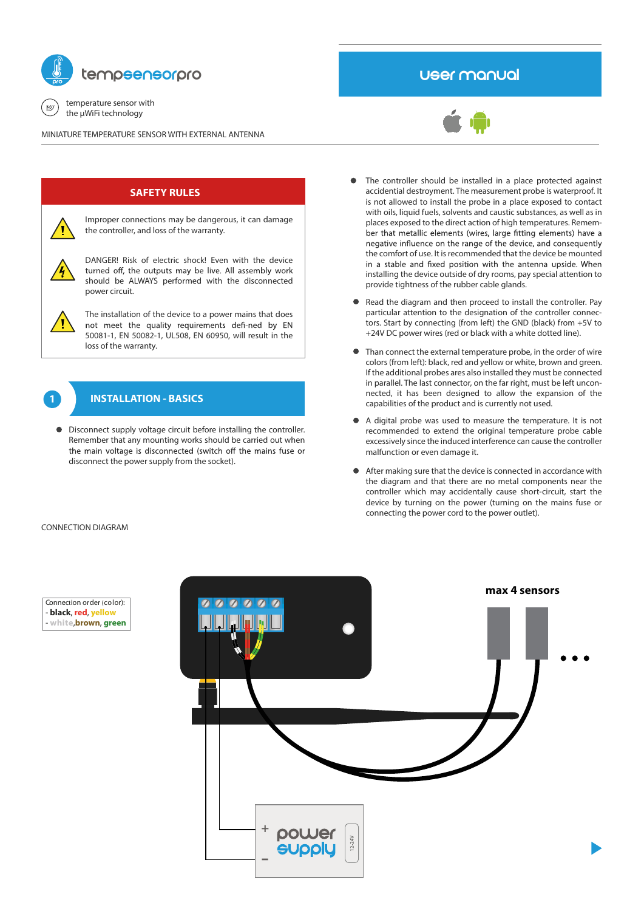

temperature sensor with 巴 the μWiFi technology

MINIATURE TEMPERATURE SENSOR WITH EXTERNAL ANTENNA

# User manual



# **SAFETY RULES**

Improper connections may be dangerous, it can damage the controller, and loss of the warranty.

DANGER! Risk of electric shock! Even with the device turned off, the outputs may be live. All assembly work should be ALWAYS performed with the disconnected power circuit.

The installation of the device to a power mains that does not meet the quality requirements defi-ned by EN 50081-1, EN 50082-1, UL508, EN 60950, will result in the loss of the warranty.



# **INSTALLATION - BASICS**

Disconnect supply voltage circuit before installing the controller. Remember that any mounting works should be carried out when the main voltage is disconnected (switch off the mains fuse or disconnect the power supply from the socket).

- The controller should be installed in a place protected against accidential destroyment. The measurement probe is waterproof. It is not allowed to install the probe in a place exposed to contact with oils, liquid fuels, solvents and caustic substances, as well as in places exposed to the direct action of high temperatures. Remember that metallic elements (wires, large fitting elements) have a negative influence on the range of the device, and consequently the comfort of use. It is recommended that the device be mounted in a stable and fixed position with the antenna upside. When installing the device outside of dry rooms, pay special attention to provide tightness of the rubber cable glands.
- Read the diagram and then proceed to install the controller. Pay particular attention to the designation of the controller connectors. Start by connecting (from left) the GND (black) from +5V to +24V DC power wires (red or black with a white dotted line).
- Than connect the external temperature probe, in the order of wire colors (from left): black, red and yellow or white, brown and green. If the additional probes ares also installed they must be connected in parallel. The last connector, on the far right, must be left unconnected, it has been designed to allow the expansion of the capabilities of the product and is currently not used.
- A digital probe was used to measure the temperature. It is not recommended to extend the original temperature probe cable excessively since the induced interference can cause the controller malfunction or even damage it.
- After making sure that the device is connected in accordance with the diagram and that there are no metal components near the controller which may accidentally cause short-circuit, start the device by turning on the power (turning on the mains fuse or connecting the power cord to the power outlet).

### CONNECTION DIAGRAM



Connection order (color): - **black**, **red**, **yellow** - **white**,**brown**, **green**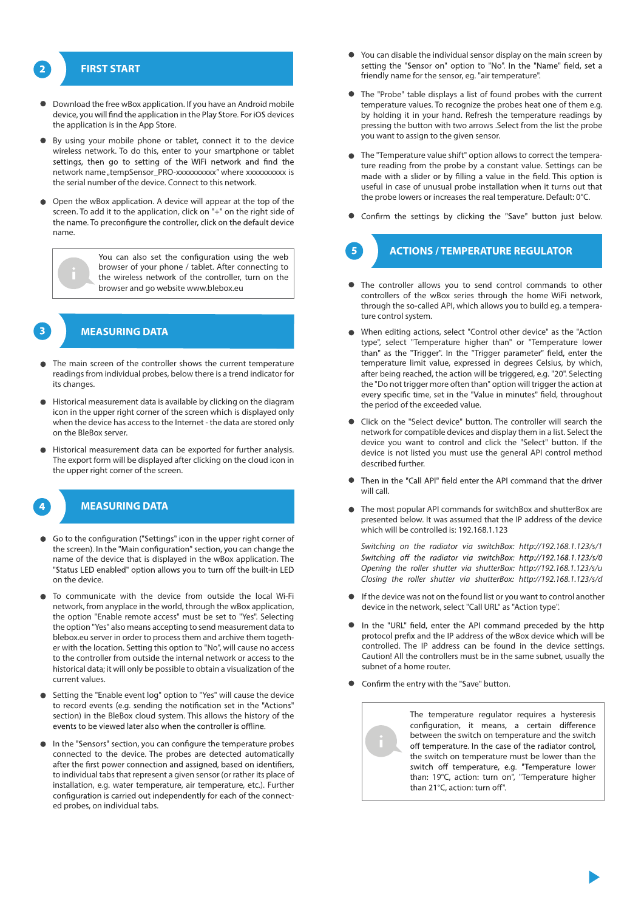# **FIRST START**

- Download the free wBox application. If you have an Android mobile device, you will find the application in the Play Store. For iOS devices the application is in the App Store.
- By using your mobile phone or tablet, connect it to the device wireless network. To do this, enter to your smartphone or tablet settings, then go to setting of the WiFi network and find the network name "tempSensor\_PRO-xxxxxxxxxx" where xxxxxxxxxx is the serial number of the device. Connect to this network.
- Open the wBox application. A device will appear at the top of the screen. To add it to the application, click on "+" on the right side of the name. To preconfigure the controller, click on the default device name.



You can also set the configuration using the web browser of your phone / tablet. After connecting to the wireless network of the controller, turn on the browser and go website www.blebox.eu



## **MEASURING DATA**

- The main screen of the controller shows the current temperature readings from individual probes, below there is a trend indicator for its changes.
- Historical measurement data is available by clicking on the diagram icon in the upper right corner of the screen which is displayed only when the device has access to the Internet - the data are stored only on the BleBox server.
- Historical measurement data can be exported for further analysis. The export form will be displayed after clicking on the cloud icon in the upper right corner of the screen.



## **MEASURING DATA**

- Go to the configuration ("Settings" icon in the upper right corner of the screen). In the "Main configuration" section, you can change the name of the device that is displayed in the wBox application. The "Status LED enabled" option allows you to turn off the built-in LED on the device.
- To communicate with the device from outside the local Wi-Fi network, from anyplace in the world, through the wBox application, the option "Enable remote access" must be set to "Yes". Selecting the option "Yes" also means accepting to send measurement data to blebox.eu server in order to process them and archive them together with the location. Setting this option to "No", will cause no access to the controller from outside the internal network or access to the historical data; it will only be possible to obtain a visualization of the current values.
- Setting the "Enable event log" option to "Yes" will cause the device to record events (e.g. sending the notification set in the "Actions" section) in the BleBox cloud system. This allows the history of the events to be viewed later also when the controller is offline.
- In the "Sensors" section, you can configure the temperature probes connected to the device. The probes are detected automatically after the first power connection and assigned, based on identifiers, to individual tabs that represent a given sensor (or rather its place of installation, e.g. water temperature, air temperature, etc.). Further configuration is carried out independently for each of the connected probes, on individual tabs.
- You can disable the individual sensor display on the main screen by setting the "Sensor on" option to "No". In the "Name" field, set a friendly name for the sensor, eg. "air temperature".
- The "Probe" table displays a list of found probes with the current temperature values. To recognize the probes heat one of them e.g. by holding it in your hand. Refresh the temperature readings by pressing the button with two arrows .Select from the list the probe you want to assign to the given sensor.
- The "Temperature value shift" option allows to correct the temperature reading from the probe by a constant value. Settings can be made with a slider or by filling a value in the field. This option is useful in case of unusual probe installation when it turns out that the probe lowers or increases the real temperature. Default: 0°C.
- Confirm the settings by clicking the "Save" button just below.

# **ACTIONS / TEMPERATURE REGULATOR**

- The controller allows you to send control commands to other controllers of the wBox series through the home WiFi network, through the so-called API, which allows you to build eg. a temperature control system.
- When editing actions, select "Control other device" as the "Action type", select "Temperature higher than" or "Temperature lower<br>than" as the "Trigger". In the "Trigger parameter" field, enter the temperature limit value, expressed in degrees Celsius, by which, after being reached, the action will be triggered, e.g. "20". Selecting the "Do not trigger more often than" option will trigger the action at every specific time, set in the "Value in minutes" field, throughout the period of the exceeded value.
- Click on the "Select device" button. The controller will search the network for compatible devices and display them in a list. Select the device you want to control and click the "Select" button. If the device is not listed you must use the general API control method described further.
- Then in the "Call API" field enter the API command that the driver will call.
- The most popular API commands for switchBox and shutterBox are presented below. It was assumed that the IP address of the device which will be controlled is: 192.168.1.123

*Switching on the radiator via switchBox: http://192.168.1.123/s/1* Switching off the radiator via switchBox: http://192.168.1.123/s/0 *Opening the roller shutter via shutterBox: http://192.168.1.123/s/u Closing the roller shutter via shutterBox: http://192.168.1.123/s/d*

- If the device was not on the found list or you want to control another device in the network, select "Call URL" as "Action type".
- In the "URL" field, enter the API command preceded by the http protocol prefix and the IP address of the wBox device which will be controlled. The IP address can be found in the device settings. Caution! All the controllers must be in the same subnet, usually the subnet of a home router.
- Confirm the entry with the "Save" button.

The temperature regulator requires a hysteresis configuration, it means, a certain difference between the switch on temperature and the switch off temperature. In the case of the radiator control, the switch on temperature must be lower than the switch off temperature, e.g. "Temperature lower<br>than: 19°C, action: turn on", "Temperature higher than 21°C, action: turn off".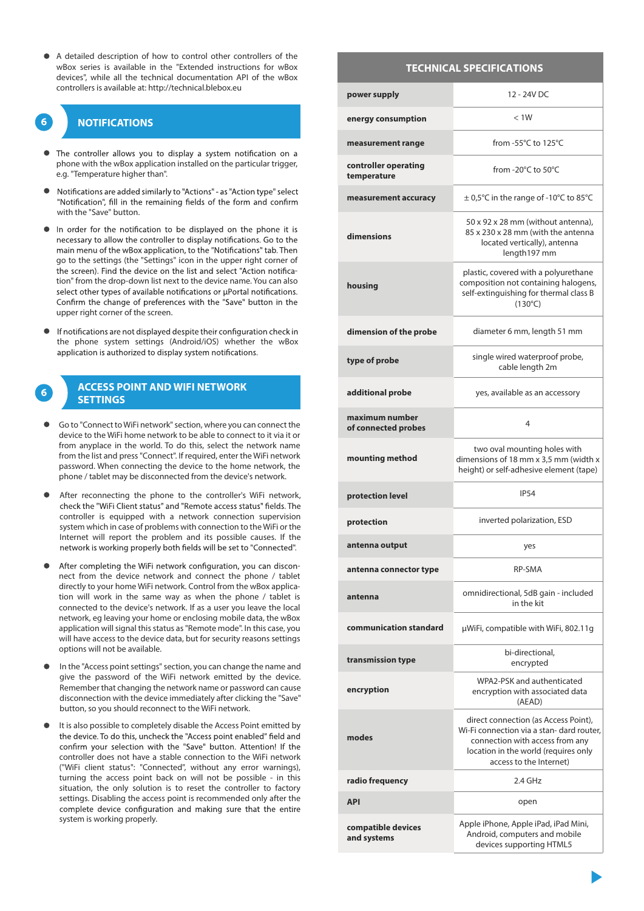A detailed description of how to control other controllers of the wBox series is available in the "Extended instructions for wBox devices", while all the technical documentation API of the wBox controllers is available at: http://technical.blebox.eu

# **NOTIFICATIONS**

- The controller allows you to display a system notification on a phone with the wBox application installed on the particular trigger, e.g. "Temperature higher than".
- Notifications are added similarly to "Actions" as "Action type" select "Notification", fill in the remaining fields of the form and confirm with the "Save" button.
- In order for the notification to be displayed on the phone it is necessary to allow the controller to display notifications. Go to the main menu of the wBox application, to the "Notifications" tab. Then go to the settings (the "Settings" icon in the upper right corner of the screen). Find the device on the list and select "Action notification" from the drop-down list next to the device name. You can also select other types of available notifications or uPortal notifications. Confirm the change of preferences with the "Save" button in the upper right corner of the screen.
- If notifications are not displayed despite their configuration check in the phone system settings (Android/iOS) whether the wBox application is authorized to display system notifications.

# **ACCESS POINT AND WIFI NETWORK SETTINGS**

- Go to "Connect to WiFi network" section, where you can connect the device to the WiFi home network to be able to connect to it via it or from anyplace in the world. To do this, select the network name from the list and press"Connect". If required, enter the WiFi network password. When connecting the device to the home network, the phone / tablet may be disconnected from the device's network.
- After reconnecting the phone to the controller's WiFi network, check the "WiFi Client status" and "Remote access status" fields. The controller is equipped with a network connection supervision system which in case of problems with connection to the WiFi or the Internet will report the problem and its possible causes. If the network is working properly both fields will be set to "Connected".
- After completing the WiFi network configuration, you can disconnect from the device network and connect the phone / tablet directly to your home WiFi network. Control from the wBox application will work in the same way as when the phone / tablet is connected to the device's network. If as a user you leave the local network, eg leaving your home or enclosing mobile data, the wBox application will signal this status as "Remote mode". In this case, you will have access to the device data, but for security reasons settings options will not be available.
- In the "Access point settings" section, you can change the name and give the password of the WiFi network emitted by the device. Remember that changing the network name or password can cause disconnection with the device immediately after clicking the "Save" button, so you should reconnect to the WiFi network.
- It is also possible to completely disable the Access Point emitted by the device. To do this, uncheck the "Access point enabled" field and confirm your selection with the "Save" button. Attention! If the controller does not have a stable connection to the WiFi network ("WiFi client status": "Connected", without any error warnings), turning the access point back on will not be possible - in this situation, the only solution is to reset the controller to factory settings. Disabling the access point is recommended only after the complete device configuration and making sure that the entire system is working properly.

### **TECHNICAL SPECIFICATIONS**

| power supply                          | 12 - 24V DC                                                                                                                                                                             |
|---------------------------------------|-----------------------------------------------------------------------------------------------------------------------------------------------------------------------------------------|
| energy consumption                    | < 1W                                                                                                                                                                                    |
| measurement range                     | from -55°C to 125°C                                                                                                                                                                     |
| controller operating<br>temperature   | from -20°C to 50°C                                                                                                                                                                      |
| measurement accuracy                  | $\pm$ 0,5°C in the range of -10°C to 85°C                                                                                                                                               |
| dimensions                            | 50 x 92 x 28 mm (without antenna),<br>85 x 230 x 28 mm (with the antenna<br>located vertically), antenna<br>length197 mm                                                                |
| housing                               | plastic, covered with a polyurethane<br>composition not containing halogens,<br>self-extinguishing for thermal class B<br>$(130^{\circ}C)$                                              |
| dimension of the probe                | diameter 6 mm, length 51 mm                                                                                                                                                             |
| type of probe                         | single wired waterproof probe,<br>cable length 2m                                                                                                                                       |
| additional probe                      | yes, available as an accessory                                                                                                                                                          |
| maximum number<br>of connected probes | 4                                                                                                                                                                                       |
| mounting method                       | two oval mounting holes with<br>dimensions of 18 mm x 3,5 mm (width x<br>height) or self-adhesive element (tape)                                                                        |
| protection level                      | <b>IP54</b>                                                                                                                                                                             |
| protection                            | inverted polarization, ESD                                                                                                                                                              |
| antenna output                        | yes                                                                                                                                                                                     |
| antenna connector type                | RP-SMA                                                                                                                                                                                  |
| antenna                               | omnidirectional, 5dB gain - included<br>in the kit                                                                                                                                      |
| communication standard                | µWiFi, compatible with WiFi, 802.11g                                                                                                                                                    |
| transmission type                     | bi-directional,<br>encrypted                                                                                                                                                            |
| encryption                            | WPA2-PSK and authenticated<br>encryption with associated data<br>(AEAD)                                                                                                                 |
| modes                                 | direct connection (as Access Point),<br>Wi-Fi connection via a stan- dard router,<br>connection with access from any<br>location in the world (requires only<br>access to the Internet) |
| radio frequency                       | $2.4$ GHz                                                                                                                                                                               |
| <b>API</b>                            | open                                                                                                                                                                                    |
| compatible devices<br>and systems     | Apple iPhone, Apple iPad, iPad Mini,<br>Android, computers and mobile<br>devices supporting HTML5                                                                                       |